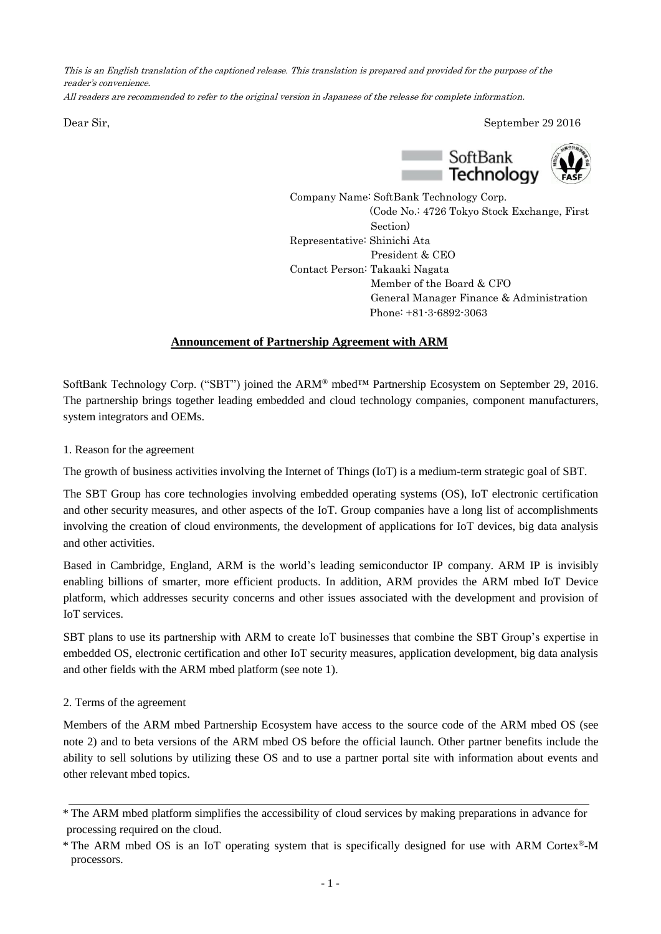This is an English translation of the captioned release. This translation is prepared and provided for the purpose of the reader's convenience.

All readers are recommended to refer to the original version in Japanese of the release for complete information.

Dear Sir, September 29 2016



Company Name: SoftBank Technology Corp. (Code No.: 4726 Tokyo Stock Exchange, First Section) Representative: Shinichi Ata President & CEO Contact Person: Takaaki Nagata Member of the Board & CFO General Manager Finance & Administration Phone: +81-3-6892-3063

# **Announcement of Partnership Agreement with ARM**

SoftBank Technology Corp. ("SBT") joined the ARM<sup>®</sup> mbed<sup>™</sup> Partnership Ecosystem on September 29, 2016. The partnership brings together leading embedded and cloud technology companies, component manufacturers, system integrators and OEMs.

1. Reason for the agreement

The growth of business activities involving the Internet of Things (IoT) is a medium-term strategic goal of SBT.

The SBT Group has core technologies involving embedded operating systems (OS), IoT electronic certification and other security measures, and other aspects of the IoT. Group companies have a long list of accomplishments involving the creation of cloud environments, the development of applications for IoT devices, big data analysis and other activities.

Based in Cambridge, England, ARM is the world's leading semiconductor IP company. ARM IP is invisibly enabling billions of smarter, more efficient products. In addition, ARM provides the ARM mbed IoT Device platform, which addresses security concerns and other issues associated with the development and provision of IoT services.

SBT plans to use its partnership with ARM to create IoT businesses that combine the SBT Group's expertise in embedded OS, electronic certification and other IoT security measures, application development, big data analysis and other fields with the ARM mbed platform (see note 1).

### 2. Terms of the agreement

Members of the ARM mbed Partnership Ecosystem have access to the source code of the ARM mbed OS (see note 2) and to beta versions of the ARM mbed OS before the official launch. Other partner benefits include the ability to sell solutions by utilizing these OS and to use a partner portal site with information about events and other relevant mbed topics.

<sup>\*</sup> The ARM mbed platform simplifies the accessibility of cloud services by making preparations in advance for processing required on the cloud.

<sup>\*</sup> The ARM mbed OS is an IoT operating system that is specifically designed for use with ARM Cortex®-M processors.